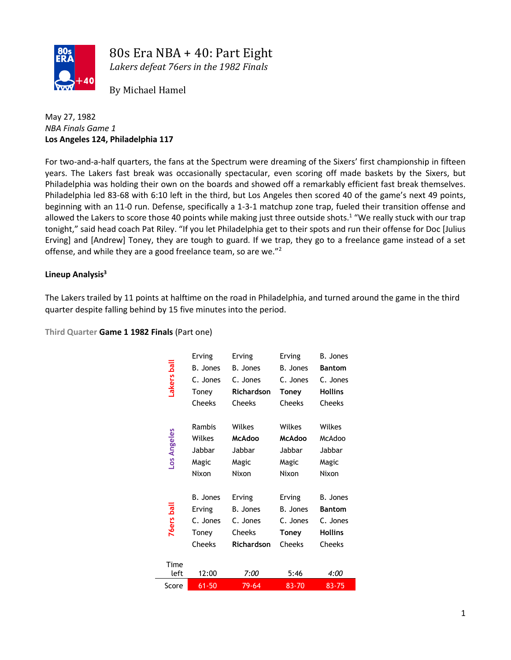

80s Era NBA + 40: Part Eight

*Lakers defeat 76ers in the 1982 Finals*

By Michael Hamel

## May 27, 1982 *NBA Finals Game 1* **Los Angeles 124, Philadelphia 117**

For two-and-a-half quarters, the fans at the Spectrum were dreaming of the Sixers' first championship in fifteen years. The Lakers fast break was occasionally spectacular, even scoring off made baskets by the Sixers, but Philadelphia was holding their own on the boards and showed off a remarkably efficient fast break themselves. Philadelphia led 83-68 with 6:10 left in the third, but Los Angeles then scored 40 of the game's next 49 points, beginning with an 11-0 run. Defense, specifically a 1-3-1 matchup zone trap, fueled their transition offense and allowed the Lakers to score those 40 points while making just three outside shots.<sup>1</sup> "We really stuck with our trap tonight," said head coach Pat Riley. "If you let Philadelphia get to their spots and run their offense for Doc [Julius Erving] and [Andrew] Toney, they are tough to guard. If we trap, they go to a freelance game instead of a set offense, and while they are a good freelance team, so are we."<sup>2</sup>

# **Lineup Analysis<sup>3</sup>**

The Lakers trailed by 11 points at halftime on the road in Philadelphia, and turned around the game in the third quarter despite falling behind by 15 five minutes into the period.

**Third Quarter Game 1 1982 Finals** (Part one)

|                   | Erving          | Erving                             | Erving        | <b>B.</b> Jones |  |
|-------------------|-----------------|------------------------------------|---------------|-----------------|--|
|                   | <b>B.</b> Jones | <b>B.</b> Jones<br><b>B.</b> Jones |               | <b>Bantom</b>   |  |
|                   | C. Jones        | C. Jones                           | C. Jones      | C. Jones        |  |
| Lakers ball       | Toney           | <b>Richardson</b>                  | Toney         | <b>Hollins</b>  |  |
|                   | Cheeks          | Cheeks                             | <b>Cheeks</b> | <b>Cheeks</b>   |  |
|                   |                 |                                    |               |                 |  |
|                   | Rambis          | Wilkes                             | Wilkes        | Wilkes          |  |
|                   | Wilkes          | <b>McAdoo</b>                      | <b>McAdoo</b> | McAdoo          |  |
|                   | Jabbar          | Jabbar                             | Jabbar        | Jabbar          |  |
| Los Angeles       | Magic           | Magic                              | Magic         | Magic           |  |
|                   | Nixon           | Nixon                              | Nixon         | Nixon           |  |
|                   |                 |                                    |               |                 |  |
|                   | <b>B.</b> Jones | Erving                             | Erving        | <b>B.</b> Jones |  |
|                   | Erving          | B. Jones                           | B. Jones      | <b>Bantom</b>   |  |
| <b>76ers</b> ball | C. Jones        | C. Jones                           | C. Jones      | C. Jones        |  |
|                   | Toney           | <b>Cheeks</b>                      | <b>Toney</b>  | <b>Hollins</b>  |  |
|                   | Cheeks          | <b>Richardson</b>                  | Cheeks        | <b>Cheeks</b>   |  |
|                   |                 |                                    |               |                 |  |
| Time<br>left      | 12:00           | 7:00                               | 5:46          | 4:00            |  |
|                   |                 |                                    |               |                 |  |
| Score             | $61 - 50$       | 79-64                              | 83-70         | 83-75           |  |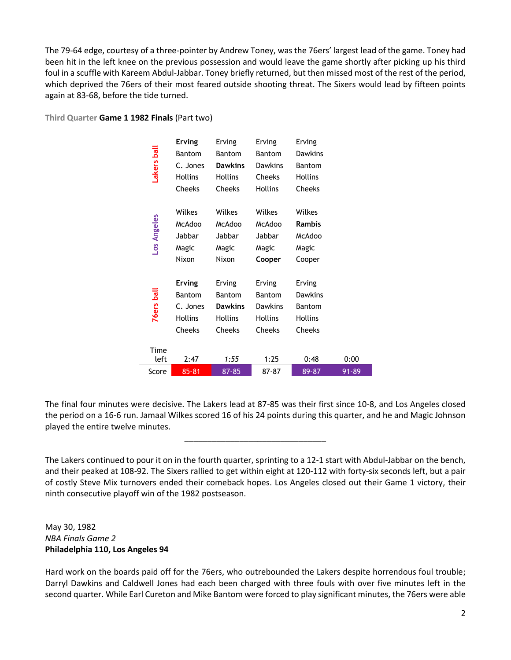The 79-64 edge, courtesy of a three-pointer by Andrew Toney, was the 76ers' largest lead of the game. Toney had been hit in the left knee on the previous possession and would leave the game shortly after picking up his third foul in a scuffle with Kareem Abdul-Jabbar. Toney briefly returned, but then missed most of the rest of the period, which deprived the 76ers of their most feared outside shooting threat. The Sixers would lead by fifteen points again at 83-68, before the tide turned.

|                   | <b>Erving</b>  | Erving         | Erving         | Erving         |       |
|-------------------|----------------|----------------|----------------|----------------|-------|
| Lakers ball       | <b>Bantom</b>  | <b>Bantom</b>  | <b>Bantom</b>  | <b>Dawkins</b> |       |
|                   | C. Jones       | <b>Dawkins</b> | <b>Dawkins</b> | Bantom         |       |
|                   | <b>Hollins</b> | <b>Hollins</b> | <b>Cheeks</b>  | <b>Hollins</b> |       |
|                   | Cheeks         | <b>Cheeks</b>  | <b>Hollins</b> | <b>Cheeks</b>  |       |
|                   | Wilkes         | Wilkes         | Wilkes         | Wilkes         |       |
|                   | McAdoo         | <b>McAdoo</b>  | <b>McAdoo</b>  | <b>Rambis</b>  |       |
|                   | Jabbar         | Jabbar         | Jabbar         | McAdoo         |       |
| Los Angeles       | Magic          | Magic          | Magic          | Magic          |       |
|                   | Nixon          | Nixon          | Cooper         | Cooper         |       |
|                   | <b>Erving</b>  | Erving         | Erving         | Erving         |       |
|                   | Bantom         | Bantom         | Bantom         | <b>Dawkins</b> |       |
| <b>76ers</b> ball | C. Jones       | <b>Dawkins</b> | <b>Dawkins</b> | Bantom         |       |
|                   | <b>Hollins</b> | <b>Hollins</b> | <b>Hollins</b> | <b>Hollins</b> |       |
|                   | Cheeks         | <b>Cheeks</b>  | Cheeks         | <b>Cheeks</b>  |       |
| Time              |                |                |                |                |       |
| left              | 2:47           | 1:55           | 1:25           | 0:48           | 0:00  |
| Score             | 85-81          | 87-85          | 87-87          | 89-87          | 91-89 |

**Third Quarter Game 1 1982 Finals** (Part two)

The final four minutes were decisive. The Lakers lead at 87-85 was their first since 10-8, and Los Angeles closed the period on a 16-6 run. Jamaal Wilkes scored 16 of his 24 points during this quarter, and he and Magic Johnson played the entire twelve minutes.

\_\_\_\_\_\_\_\_\_\_\_\_\_\_\_\_\_\_\_\_\_\_\_\_\_\_\_\_\_\_\_

The Lakers continued to pour it on in the fourth quarter, sprinting to a 12-1 start with Abdul-Jabbar on the bench, and their peaked at 108-92. The Sixers rallied to get within eight at 120-112 with forty-six seconds left, but a pair of costly Steve Mix turnovers ended their comeback hopes. Los Angeles closed out their Game 1 victory, their ninth consecutive playoff win of the 1982 postseason.

May 30, 1982 *NBA Finals Game 2* **Philadelphia 110, Los Angeles 94**

Hard work on the boards paid off for the 76ers, who outrebounded the Lakers despite horrendous foul trouble; Darryl Dawkins and Caldwell Jones had each been charged with three fouls with over five minutes left in the second quarter. While Earl Cureton and Mike Bantom were forced to play significant minutes, the 76ers were able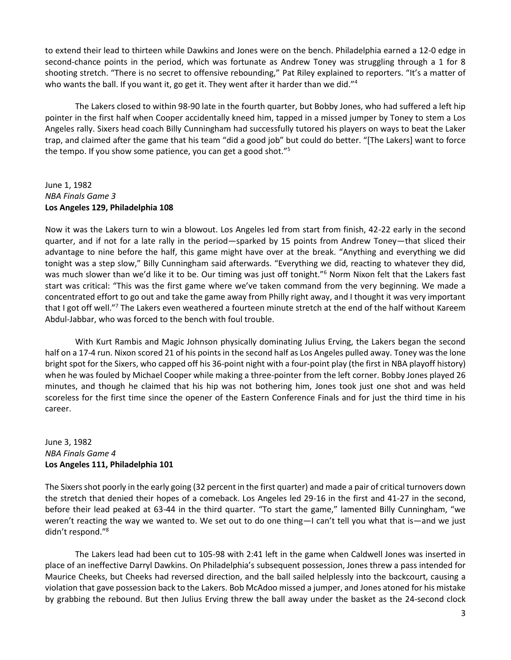to extend their lead to thirteen while Dawkins and Jones were on the bench. Philadelphia earned a 12-0 edge in second-chance points in the period, which was fortunate as Andrew Toney was struggling through a 1 for 8 shooting stretch. "There is no secret to offensive rebounding," Pat Riley explained to reporters. "It's a matter of who wants the ball. If you want it, go get it. They went after it harder than we did."<sup>4</sup>

The Lakers closed to within 98-90 late in the fourth quarter, but Bobby Jones, who had suffered a left hip pointer in the first half when Cooper accidentally kneed him, tapped in a missed jumper by Toney to stem a Los Angeles rally. Sixers head coach Billy Cunningham had successfully tutored his players on ways to beat the Laker trap, and claimed after the game that his team "did a good job" but could do better. "[The Lakers] want to force the tempo. If you show some patience, you can get a good shot."<sup>5</sup>

#### June 1, 1982 *NBA Finals Game 3* **Los Angeles 129, Philadelphia 108**

Now it was the Lakers turn to win a blowout. Los Angeles led from start from finish, 42-22 early in the second quarter, and if not for a late rally in the period—sparked by 15 points from Andrew Toney—that sliced their advantage to nine before the half, this game might have over at the break. "Anything and everything we did tonight was a step slow," Billy Cunningham said afterwards. "Everything we did, reacting to whatever they did, was much slower than we'd like it to be. Our timing was just off tonight."<sup>6</sup> Norm Nixon felt that the Lakers fast start was critical: "This was the first game where we've taken command from the very beginning. We made a concentrated effort to go out and take the game away from Philly right away, and I thought it was very important that I got off well."<sup>7</sup> The Lakers even weathered a fourteen minute stretch at the end of the half without Kareem Abdul-Jabbar, who was forced to the bench with foul trouble.

With Kurt Rambis and Magic Johnson physically dominating Julius Erving, the Lakers began the second half on a 17-4 run. Nixon scored 21 of his points in the second half as Los Angeles pulled away. Toney was the lone bright spot for the Sixers, who capped off his 36-point night with a four-point play (the first in NBA playoff history) when he was fouled by Michael Cooper while making a three-pointer from the left corner. Bobby Jones played 26 minutes, and though he claimed that his hip was not bothering him, Jones took just one shot and was held scoreless for the first time since the opener of the Eastern Conference Finals and for just the third time in his career.

### June 3, 1982 *NBA Finals Game 4* **Los Angeles 111, Philadelphia 101**

The Sixers shot poorly in the early going (32 percent in the first quarter) and made a pair of critical turnovers down the stretch that denied their hopes of a comeback. Los Angeles led 29-16 in the first and 41-27 in the second, before their lead peaked at 63-44 in the third quarter. "To start the game," lamented Billy Cunningham, "we weren't reacting the way we wanted to. We set out to do one thing—I can't tell you what that is—and we just didn't respond."<sup>8</sup>

The Lakers lead had been cut to 105-98 with 2:41 left in the game when Caldwell Jones was inserted in place of an ineffective Darryl Dawkins. On Philadelphia's subsequent possession, Jones threw a pass intended for Maurice Cheeks, but Cheeks had reversed direction, and the ball sailed helplessly into the backcourt, causing a violation that gave possession back to the Lakers. Bob McAdoo missed a jumper, and Jones atoned for his mistake by grabbing the rebound. But then Julius Erving threw the ball away under the basket as the 24-second clock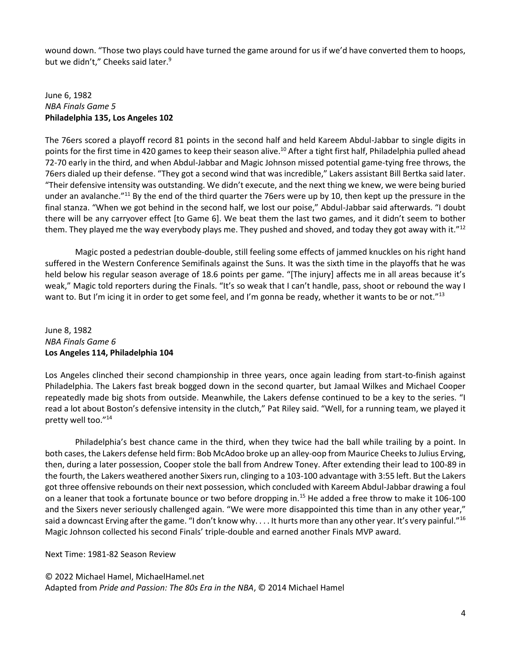wound down. "Those two plays could have turned the game around for us if we'd have converted them to hoops, but we didn't," Cheeks said later.<sup>9</sup>

#### June 6, 1982 *NBA Finals Game 5* **Philadelphia 135, Los Angeles 102**

The 76ers scored a playoff record 81 points in the second half and held Kareem Abdul-Jabbar to single digits in points for the first time in 420 games to keep their season alive.<sup>10</sup> After a tight first half, Philadelphia pulled ahead 72-70 early in the third, and when Abdul-Jabbar and Magic Johnson missed potential game-tying free throws, the 76ers dialed up their defense. "They got a second wind that was incredible," Lakers assistant Bill Bertka said later. "Their defensive intensity was outstanding. We didn't execute, and the next thing we knew, we were being buried under an avalanche."<sup>11</sup> By the end of the third quarter the 76ers were up by 10, then kept up the pressure in the final stanza. "When we got behind in the second half, we lost our poise," Abdul-Jabbar said afterwards. "I doubt there will be any carryover effect [to Game 6]. We beat them the last two games, and it didn't seem to bother them. They played me the way everybody plays me. They pushed and shoved, and today they got away with it."<sup>12</sup>

Magic posted a pedestrian double-double, still feeling some effects of jammed knuckles on his right hand suffered in the Western Conference Semifinals against the Suns. It was the sixth time in the playoffs that he was held below his regular season average of 18.6 points per game. "[The injury] affects me in all areas because it's weak," Magic told reporters during the Finals. "It's so weak that I can't handle, pass, shoot or rebound the way I want to. But I'm icing it in order to get some feel, and I'm gonna be ready, whether it wants to be or not."<sup>13</sup>

## June 8, 1982 *NBA Finals Game 6* **Los Angeles 114, Philadelphia 104**

Los Angeles clinched their second championship in three years, once again leading from start-to-finish against Philadelphia. The Lakers fast break bogged down in the second quarter, but Jamaal Wilkes and Michael Cooper repeatedly made big shots from outside. Meanwhile, the Lakers defense continued to be a key to the series. "I read a lot about Boston's defensive intensity in the clutch," Pat Riley said. "Well, for a running team, we played it pretty well too."<sup>14</sup>

Philadelphia's best chance came in the third, when they twice had the ball while trailing by a point. In both cases, the Lakers defense held firm: Bob McAdoo broke up an alley-oop from Maurice Cheeks to Julius Erving, then, during a later possession, Cooper stole the ball from Andrew Toney. After extending their lead to 100-89 in the fourth, the Lakers weathered another Sixers run, clinging to a 103-100 advantage with 3:55 left. But the Lakers got three offensive rebounds on their next possession, which concluded with Kareem Abdul-Jabbar drawing a foul on a leaner that took a fortunate bounce or two before dropping in.<sup>15</sup> He added a free throw to make it 106-100 and the Sixers never seriously challenged again. "We were more disappointed this time than in any other year," said a downcast Erving after the game. "I don't know why.... It hurts more than any other year. It's very painful."<sup>16</sup> Magic Johnson collected his second Finals' triple-double and earned another Finals MVP award.

Next Time: 1981-82 Season Review

© 2022 Michael Hamel, MichaelHamel.net Adapted from *Pride and Passion: The 80s Era in the NBA*, © 2014 Michael Hamel